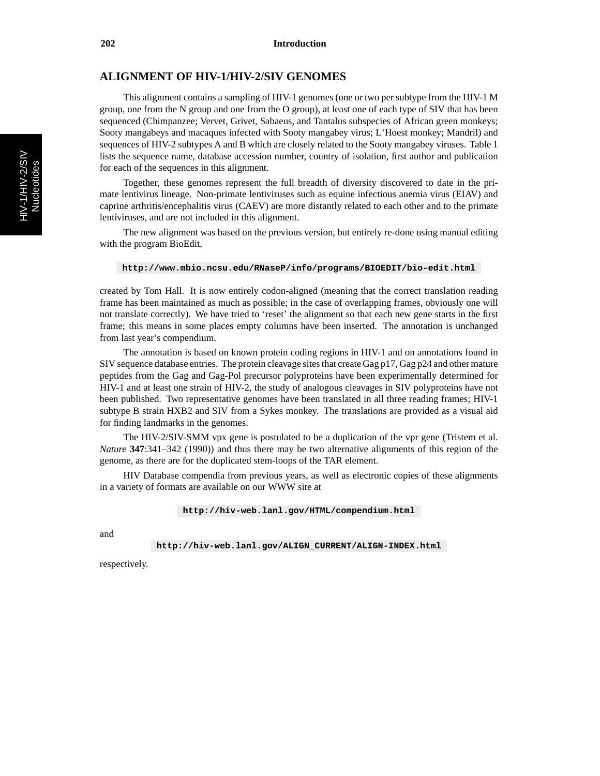## **ALIGNMENT OF HIV-1/HIV-2/SIV GENOMES**

This alignment contains a sampling of HIV-1 genomes (one or two per subtype from the HIV-1 M group, one from the N group and one from the O group), at least one of each type of SIV that has been sequenced (Chimpanzee; Vervet, Grivet, Sabaeus, and Tantalus subspecies of African green monkeys; Sooty mangabeys and macaques infected with Sooty mangabey virus; L'Hoest monkey; Mandril) and sequences of HIV-2 subtypes A and B which are closely related to the Sooty mangabey viruses. Table 1 lists the sequence name, database accession number, country of isolation, first author and publication for each of the sequences in this alignment.

Together, these genomes represent the full breadth of diversity discovered to date in the primate lentivirus lineage. Non-primate lentiviruses such as equine infectious anemia virus (EIAV) and caprine arthritis/encephalitis virus (CAEV) are more distantly related to each other and to the primate lentiviruses, and are not included in this alignment.

The new alignment was based on the previous version, but entirely re-done using manual editing with the program BioEdit,

**http://www.mbio.ncsu.edu/RNaseP/info/programs/BIOEDIT/bio-edit.html**

created by Tom Hall. It is now entirely codon-aligned (meaning that the correct translation reading frame has been maintained as much as possible; in the case of overlapping frames, obviously one will not translate correctly). We have tried to 'reset' the alignment so that each new gene starts in the first frame; this means in some places empty columns have been inserted. The annotation is unchanged from last year's compendium.

The annotation is based on known protein coding regions in HIV-1 and on annotations found in SIV sequence database entries. The protein cleavage sites that create Gag  $p17$ , Gag  $p24$  and other mature peptides from the Gag and Gag-Pol precursor polyproteins have been experimentally determined for HIV-1 and at least one strain of HIV-2, the study of analogous cleavages in SIV polyproteins have not been published. Two representative genomes have been translated in all three reading frames; HIV-1 subtype B strain HXB2 and SIV from a Sykes monkey. The translations are provided as a visual aid for finding landmarks in the genomes.

The HIV-2/SIV-SMM vpx gene is postulated to be a duplication of the vpr gene (Tristem et al. *Nature* **347**:341–342 (1990)) and thus there may be two alternative alignments of this region of the genome, as there are for the duplicated stem-loops of the TAR element.

HIV Database compendia from previous years, as well as electronic copies of these alignments in a variety of formats are available on our WWW site at

**http://hiv-web.lanl.gov/HTML/compendium.html**

and

**http://hiv-web.lanl.gov/ALIGN**\_**CURRENT/ALIGN-INDEX.html**

respectively.